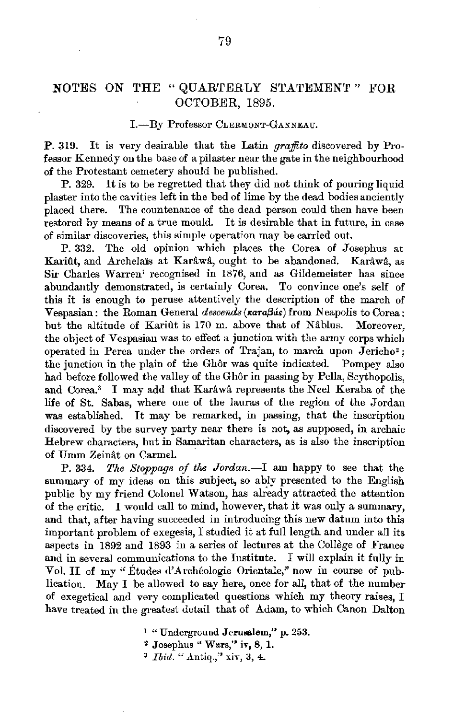## **NOTES ON THE "QUARTERLY STATEMENT" FOR** OCTOBER, 1895.

## I.-By Professor CLERMONT-GANNEAU.

**P.** 319. It is very desirable that the Latin *graffito* discovered by Professor Kennedy on the base of a pilaster near the gate in the neighbourhood of the Protestant cemetery should be published.

P. 329. It is to be regretted that they did not think of pouring liquid plaster into the cavities left in the bed of lime by the dead bodies anciently placed there. The countenance of the dead person could then have been restored by means of a true mould. It is desirable that in future, in case of similar discoveries, this simple uperation may be carried out.

P. 332. The old opinion which places the Corea of Josephus at Kariût, and Archelaïs at Karâwâ, ought to be abandoned. Karâwâ, as Sir Charles Warren<sup>1</sup> recognised in 1876, and as Gildemeister has since abundantly demonstrated, is certainly Corea. To convince one's self of this it is enough to peruse attentively the description of the march of Vespasian: the Roman General *descends* ( $\kappa$ ara*Bás*) from Neapolis to Corea:  $but$  the altitude of Kariût is 170 m. above that of Nablus. Moreover, the object of Vespasian was to effect a junction with the army corps which operated in Perea under the orders of Trajan, to march upon Jericho<sup>2</sup>: the junction in the plain of the Ghôr was quite indicated. Pompey also had before followed the valley of the Gh6r in passing by Pella, Scythopolis, and Corea.<sup>3</sup> I may add that Karâwâ represents the Neel Keraba of the life of St. Sabas, where one of the lauras of the region of the Jordan was established. It may be remarked, in passing, that the inscription discovered by the survey party near there is not, as supposed, in archaic Hebrew characters, but in Samaritan characters, as is also the inscription of Umm Zeinat on Carmel.

P. 334. *The Stoppage of the Jordan.-!* am happy to see that the summary of my ideas on this subject, so ably presented to the English public by my friend Colonel Watson, has already attracted the attention of the critic. I would call to mind, however, that it was only a summary, and that, after having succeeded in introducing this new datum into this important problem of exegesis, I studied it at full length and under all its aspects in 1892 and 1893 in a series of lectures at the College of France and in several communications to the Institute. I will explain it fully in Vol. II of my "Études d'Archéologie Orientale," now in course of publication. May I be allowed to say here, once for all, that of the number of exegetical aud very complicated questions which my theory raises, I have treated in the greatest detail that of Adam, to which Canon Dalton

<sup>1</sup> "Underground Jerusalem," p. 253.

<sup>2</sup>Josephus "Wars,'' iv, 8, **1.** 

 $\overline{a}$  *Ibid.*  $\overline{a}$  Antiq.," xiv, 3, 4.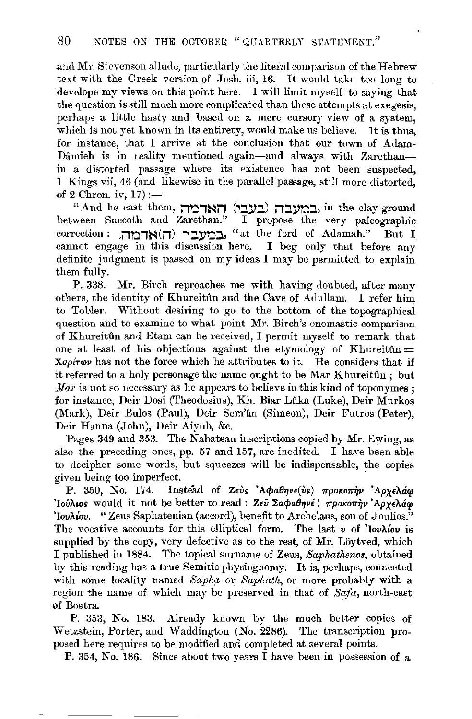and Mr. Stevenson allude, particularly the literal comparison of the Hebrew text with the Greek version of Josh. iii, 16. It would take too long to develope my views on this point here. I will limit myself to saying that the question is still much more complicated than these attempts at exegesis, perhaps a little hasty and based on a mere cursory view of a system, which is not yet known in its entirety, would make us believe. It is thus, for instance, that I arrive at the conclusion that our town of Adam-Dâmieh is in reality mentioned again-and always with Zarethanin a distorted passage where its existence has not been suspected. 1 Kings vii, 46 (and likewise in the parallel passage, still more distorted, of 2 Chron. iv,  $17$  :-

" And he cast them, האדמה (בעבי) האדמה, in the clay ground between Succoth and Zarethan." I propose the very paleographic correction : במעבר (ה) במעבר (il) **'**at the ford of Adamah." But I cannot engage in this discussion here. I beg only that before any definite judgment is passed on my ideas I may be permitted to explain them fully.

P. 338. Mr. Birch reproaches me with having doubted, after many others, the identity of Khureitftn and the Cave of Adullam. I refer him to Tobler. Without desiring to go to the bottom of the topographical question and to examine to what point Mr. Birch's onomastic comparison of Khureitûn and Etam can be received, I permit myself to remark that one at least of his objections against the etymology of Khureitun  $=$  $X$ apirov has not the force which he attributes to it. He considers that if it referred to a holy personage the name ought to be Mar Khureitûn; but *Mar* is not so necessary as he appears to believe in this kind of toponymes; for instance, Deir Dosi (Theodosius), Kh. Biar Luka (Luke), Deir Murkos (Mark), Deir Bulos (Paul), Deir Sem'ân (Simeon), Deir Futros (Peter), Deir Hanna (John), Deir Aiyub, &c.

Pages 349 and 353. The Nabatean inscriptions copied by Mr. Ewing, as also the preceding ones, pp. 57 and 157, are inedited. I have been able to decipher some words, but squeezes will be indispensable, the copies given being too imperfect.

P. 350, No. 174. Instead of *Zevs* 'Aφαθηνε(vs) προκοπην 'Αρχελάω 'Iou'Auos would it not be better to read : Zeu Σaφaθηνέ! *προκοπην* 'Αρχελάφ 'Iov $\lambda$ iov. "Zeus Saphatenian (accord), benefit to Archelaus, son of Joulios." The vocative accounts for this elliptical form. The last *v* of 'Iovkiov is supplied by the copy, very defective as to the rest, of Mr. Löytved, which I published in 1884. The topical surname of Zeus, *Saphathenos,* obtained by this reading has a true Semitic physiognomy. It is, perhaps, connected with some locality named Sapha or Saphath, or more probably with a region the name of which may be preserved in that of *Safa,* north-east of Bostra.

**P.** 353, No. 183. Already known by the much better copies of Wetzstein, Porter, and Waddington (No. 2286). The transcription proposed here requires to be modified and completed at several points.

P. 354, No. 186. Since about two years I have been in possession of a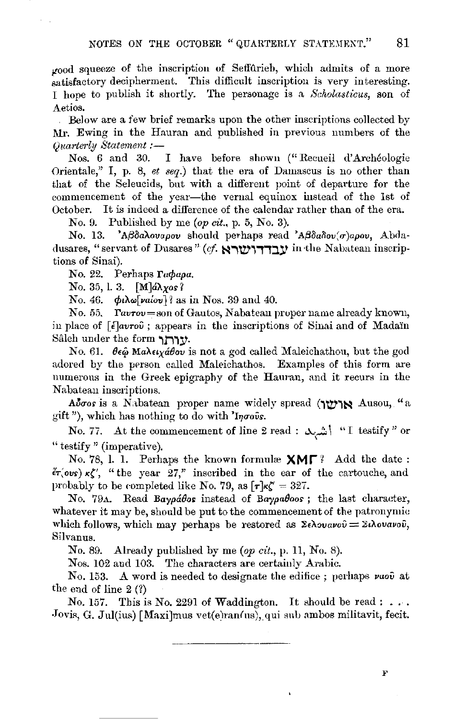$_{\rm{mod}}$  squeeze of the inscription of Seffurieb, which admits of a more satisfactory decipherment. This difficult inscription is very interesting. I hope to publish it shortly. The personage is a *Sclwlasticus,* son of Aetios.

Below are a few brief remarks upon the other inscriptions collected by Mr. Ewing in the Hauran and published in previous numbers of the *Quarterly Statement :-*<br>Nos. 6 and 30.

I have before shown ("Recueil d'Archéologie Orientale," I, p. 8, *et seq.)* that the era of Damascus is no other than that of the Seleucids, but with a different point of departure for the commencement of the year-the vernal equinox instead of the 1st of October. It is indeed a difference of the calendar rather than of the era.

No. 9. Published by me *(op cit.,* p. 5, No. 3).

No. 13. *'AßdaAovapov* should perhaps read 'Aßdadov'o)apov, Abdadusares, "servant of Dusares" (cf. אבדדושבא) in the Nabatean inscriptions of Sinai).

No. 22. Perhaps Γαφαρα.

No. 35, 1. 3.  $[M]$  $d\lambda$  yos?

No. 46. φιλω<sup>[</sup>ναίου] ' as in Nos. 39 and 40.

No. 55.  $r_{\text{avrov}=son}$  of Gautos, Nabatean proper name already known, in place of *[[avrou*; appears in the inscriptions of Sinai and of Mada'in Saleh under the form **1111:17·** 

No. 61.  $\theta \epsilon \hat{\omega}$  MakelyaBov is not a god called Maleichathou, but the god adored by the person called Maleichathos. Examples of this form are numerous in the Greek epigraphy of the Hauran, and it recurs in the Nabatean inscriptions.

Aboos is a Nabatean proper name widely spread (117718 Ausou, "a gift"), which has nothing to do with 'Ingous.

No. 77. At the commencement of line 2 read : شربله  $\mathbb{I}$  testify " or " testify " (imperative).

No. 78, 1. 1. Perhaps the known formulæ  $XMT$ <sup>?</sup> Add the date:  $\epsilon r(\text{ous}) \kappa \zeta'$ , "the year 27," inscribed in the ear of the cartouche, and probably to be completed like No. 79, as  $\lceil r \rceil \kappa \zeta' = 327$ .

No. 79A. Read *Baypabos* instead of *Baypaboos*; the last character, whatever it may be, should be put to the commencement of the patronymic which follows, which may perhaps be restored as  $\Sigma \epsilon \lambda \omega u \nu \omega \hat{\nu} = \Sigma \lambda \omega u \nu \omega \hat{\nu}$ . Silvanus.

No. 89. Already published by me *(op cit.,* p. 11, No. 8).

Nos. 102 and 103. The characters are certainly Arabic.

No. 153. A word is needed to designate the edifice; perhaps vuou at the end of line  $2 \left( ? \right)$ 

No. 157. This is No. 2291 of Waddington. It should be read:  $\ldots$ . Jovis, G. Jul(ius) [Maxi]mus vet(e)ran(us), qui snb ambos militavit, fecit.

F